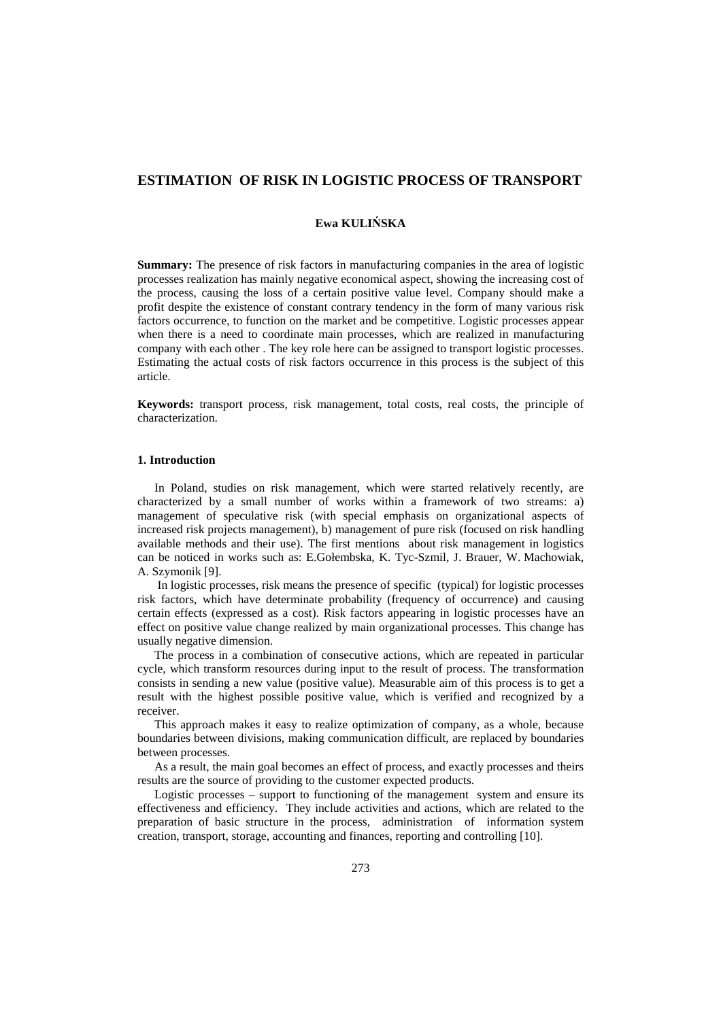# **ESTIMATION OF RISK IN LOGISTIC PROCESS OF TRANSPORT**

# **Ewa KULIŃSKA**

**Summary:** The presence of risk factors in manufacturing companies in the area of logistic processes realization has mainly negative economical aspect, showing the increasing cost of the process, causing the loss of a certain positive value level. Company should make a profit despite the existence of constant contrary tendency in the form of many various risk factors occurrence, to function on the market and be competitive. Logistic processes appear when there is a need to coordinate main processes, which are realized in manufacturing company with each other . The key role here can be assigned to transport logistic processes. Estimating the actual costs of risk factors occurrence in this process is the subject of this article.

**Keywords:** transport process, risk management, total costs, real costs, the principle of characterization.

## **1. Introduction**

In Poland, studies on risk management, which were started relatively recently, are characterized by a small number of works within a framework of two streams: a) management of speculative risk (with special emphasis on organizational aspects of increased risk projects management), b) management of pure risk (focused on risk handling available methods and their use). The first mentions about risk management in logistics can be noticed in works such as: E.Gołembska, K. Tyc-Szmil, J. Brauer, W. Machowiak, A. Szymonik [9].

 In logistic processes, risk means the presence of specific (typical) for logistic processes risk factors, which have determinate probability (frequency of occurrence) and causing certain effects (expressed as a cost). Risk factors appearing in logistic processes have an effect on positive value change realized by main organizational processes. This change has usually negative dimension.

The process in a combination of consecutive actions, which are repeated in particular cycle, which transform resources during input to the result of process. The transformation consists in sending a new value (positive value). Measurable aim of this process is to get a result with the highest possible positive value, which is verified and recognized by a receiver.

This approach makes it easy to realize optimization of company, as a whole, because boundaries between divisions, making communication difficult, are replaced by boundaries between processes.

As a result, the main goal becomes an effect of process, and exactly processes and theirs results are the source of providing to the customer expected products.

Logistic processes – support to functioning of the management system and ensure its effectiveness and efficiency. They include activities and actions, which are related to the preparation of basic structure in the process, administration of information system creation, transport, storage, accounting and finances, reporting and controlling [10].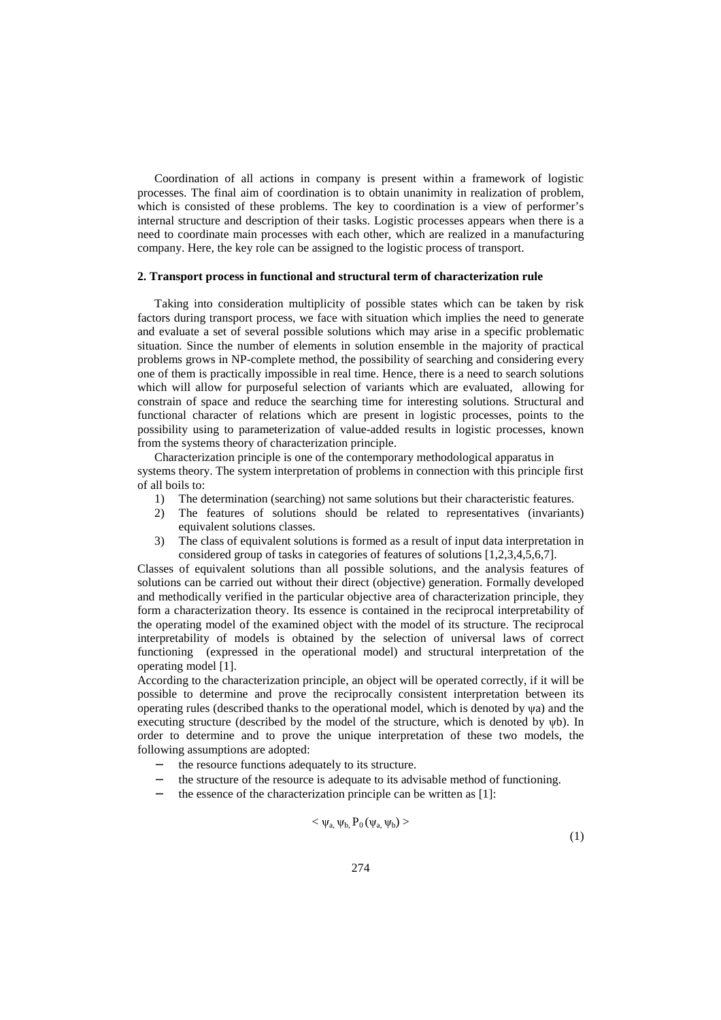Coordination of all actions in company is present within a framework of logistic processes. The final aim of coordination is to obtain unanimity in realization of problem, which is consisted of these problems. The key to coordination is a view of performer's internal structure and description of their tasks. Logistic processes appears when there is a need to coordinate main processes with each other, which are realized in a manufacturing company. Here, the key role can be assigned to the logistic process of transport.

#### **2. Transport process in functional and structural term of characterization rule**

Taking into consideration multiplicity of possible states which can be taken by risk factors during transport process, we face with situation which implies the need to generate and evaluate a set of several possible solutions which may arise in a specific problematic situation. Since the number of elements in solution ensemble in the majority of practical problems grows in NP-complete method, the possibility of searching and considering every one of them is practically impossible in real time. Hence, there is a need to search solutions which will allow for purposeful selection of variants which are evaluated, allowing for constrain of space and reduce the searching time for interesting solutions. Structural and functional character of relations which are present in logistic processes, points to the possibility using to parameterization of value-added results in logistic processes, known from the systems theory of characterization principle.

Characterization principle is one of the contemporary methodological apparatus in systems theory. The system interpretation of problems in connection with this principle first of all boils to:

- 1) The determination (searching) not same solutions but their characteristic features.
- 2) The features of solutions should be related to representatives (invariants) equivalent solutions classes.
- 3) The class of equivalent solutions is formed as a result of input data interpretation in considered group of tasks in categories of features of solutions [1,2,3,4,5,6,7].

Classes of equivalent solutions than all possible solutions, and the analysis features of solutions can be carried out without their direct (objective) generation. Formally developed and methodically verified in the particular objective area of characterization principle, they form a characterization theory. Its essence is contained in the reciprocal interpretability of the operating model of the examined object with the model of its structure. The reciprocal interpretability of models is obtained by the selection of universal laws of correct functioning (expressed in the operational model) and structural interpretation of the operating model [1].

According to the characterization principle, an object will be operated correctly, if it will be possible to determine and prove the reciprocally consistent interpretation between its operating rules (described thanks to the operational model, which is denoted by ψa) and the executing structure (described by the model of the structure, which is denoted by ψb). In order to determine and to prove the unique interpretation of these two models, the following assumptions are adopted:

- − the resource functions adequately to its structure.
- the structure of the resource is adequate to its advisable method of functioning.
- the essence of the characterization principle can be written as [1]:

$$
\langle \psi_{a}, \psi_{b}, P_0(\psi_{a}, \psi_{b}) \rangle \tag{1}
$$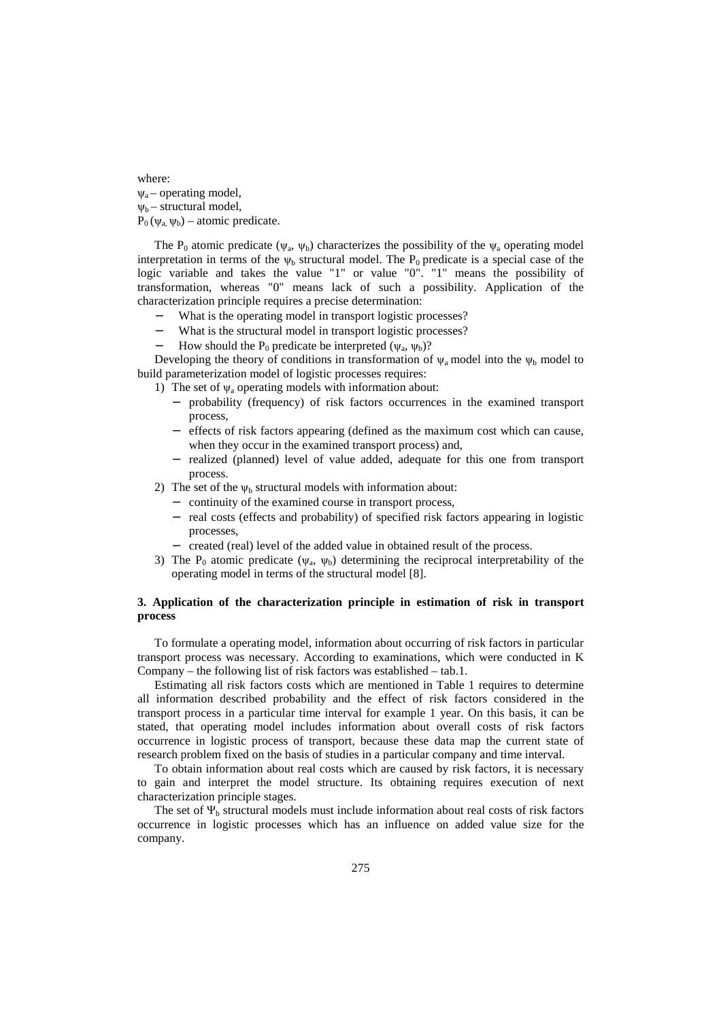where:  $\nu_a$  – operating model,  $\Psi_{b}$  – structural model,  $P_0(v_a, v_b)$  – atomic predicate.

The P<sub>0</sub> atomic predicate ( $\psi_a$ ,  $\psi_b$ ) characterizes the possibility of the  $\psi_a$  operating model interpretation in terms of the  $\psi_b$  structural model. The P<sub>0</sub> predicate is a special case of the logic variable and takes the value "1" or value "0". "1" means the possibility of transformation, whereas "0" means lack of such a possibility. Application of the characterization principle requires a precise determination:

- What is the operating model in transport logistic processes?
- What is the structural model in transport logistic processes?
- $-$  How should the P<sub>0</sub> predicate be interpreted ( $\psi_a$ ,  $\psi_b$ )?

Developing the theory of conditions in transformation of  $\psi_a$  model into the  $\psi_b$  model to build parameterization model of logistic processes requires:

1) The set of  $\psi_a$  operating models with information about:

- − probability (frequency) of risk factors occurrences in the examined transport process,
- effects of risk factors appearing (defined as the maximum cost which can cause, when they occur in the examined transport process) and,
- − realized (planned) level of value added, adequate for this one from transport process.
- 2) The set of the  $\psi_b$  structural models with information about:
	- − continuity of the examined course in transport process,
	- − real costs (effects and probability) of specified risk factors appearing in logistic processes,
	- − created (real) level of the added value in obtained result of the process.
- 3) The  $P_0$  atomic predicate ( $\psi_a$ ,  $\psi_b$ ) determining the reciprocal interpretability of the operating model in terms of the structural model [8].

## **3. Application of the characterization principle in estimation of risk in transport process**

To formulate a operating model, information about occurring of risk factors in particular transport process was necessary. According to examinations, which were conducted in K Company – the following list of risk factors was established – tab.1.

Estimating all risk factors costs which are mentioned in Table 1 requires to determine all information described probability and the effect of risk factors considered in the transport process in a particular time interval for example 1 year. On this basis, it can be stated, that operating model includes information about overall costs of risk factors occurrence in logistic process of transport, because these data map the current state of research problem fixed on the basis of studies in a particular company and time interval.

To obtain information about real costs which are caused by risk factors, it is necessary to gain and interpret the model structure. Its obtaining requires execution of next characterization principle stages.

The set of  $\Psi_b$  structural models must include information about real costs of risk factors occurrence in logistic processes which has an influence on added value size for the company.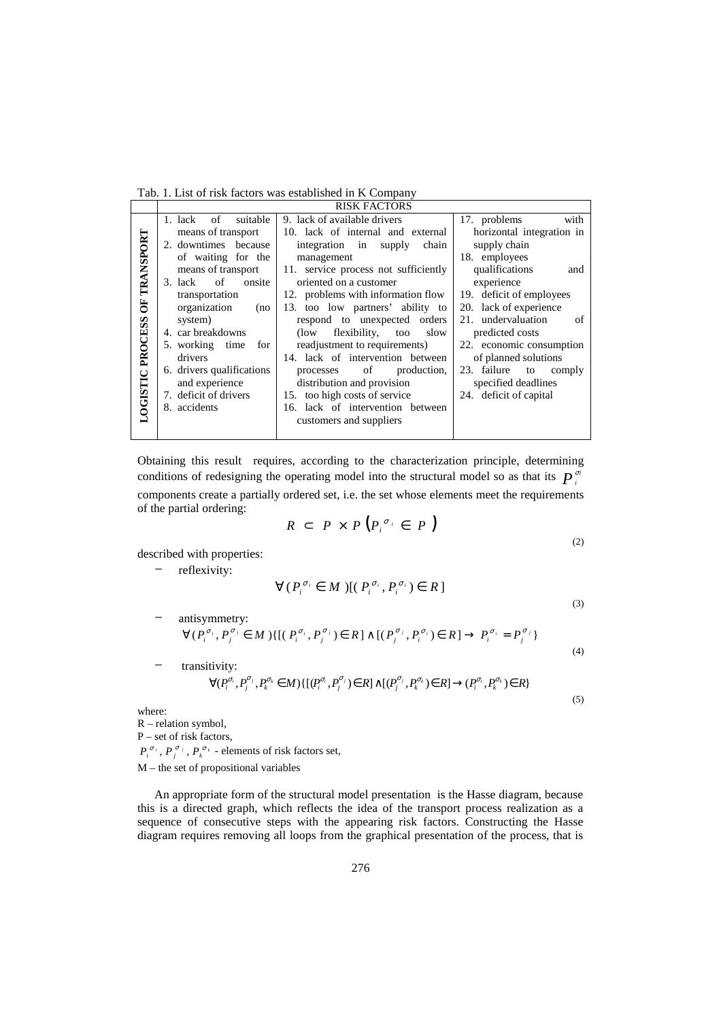Tab. 1. List of risk factors was established in K Company

|  |                                  | <b>RISK FACTORS</b>             |                                      |                             |  |  |
|--|----------------------------------|---------------------------------|--------------------------------------|-----------------------------|--|--|
|  |                                  | suitable<br>1. lack of          | 9. lack of available drivers         | with<br>17. problems        |  |  |
|  | OF TRANSPORT<br>LOGISTIC PROCESS | means of transport              | 10. lack of internal and external    | horizontal integration in   |  |  |
|  |                                  | 2. downtimes because            | integration in<br>chain<br>supply    | supply chain                |  |  |
|  |                                  | of waiting for the              | management                           | 18. employees               |  |  |
|  |                                  | means of transport              | 11. service process not sufficiently | qualifications<br>and       |  |  |
|  |                                  | $\circ$ of<br>onsite<br>3. lack | oriented on a customer               | experience                  |  |  |
|  |                                  | transportation                  | 12. problems with information flow   | 19. deficit of employees    |  |  |
|  |                                  | organization<br>(no             | 13. too low partners' ability to     | 20. lack of experience      |  |  |
|  |                                  | system)                         | respond to unexpected orders         | 21. undervaluation<br>of    |  |  |
|  |                                  | 4. car breakdowns               | flexibility,<br>slow<br>(low)<br>too | predicted costs             |  |  |
|  |                                  | 5. working time<br>for          | readjustment to requirements)        | 22. economic consumption    |  |  |
|  |                                  | drivers                         | 14. lack of intervention between     | of planned solutions        |  |  |
|  |                                  | 6. drivers qualifications       | of<br>production,<br>processes       | 23. failure<br>to<br>comply |  |  |
|  |                                  | and experience                  | distribution and provision           | specified deadlines         |  |  |
|  |                                  | 7. deficit of drivers           | 15. too high costs of service        | 24. deficit of capital      |  |  |
|  |                                  | 8. accidents                    | 16. lack of intervention between     |                             |  |  |
|  |                                  |                                 | customers and suppliers              |                             |  |  |
|  |                                  |                                 |                                      |                             |  |  |

Obtaining this result requires, according to the characterization principle, determining conditions of redesigning the operating model into the structural model so as that its  $P_i^{\sigma i}$ *i* σ components create a partially ordered set, i.e. the set whose elements meet the requirements of the partial ordering:

$$
R \subset P \times P(P_i^{\sigma_i} \in P)
$$
\n(2)

described with properties:

reflexivity:

$$
\forall (P_i^{\sigma_i} \in M) [(P_i^{\sigma_i}, P_i^{\sigma_i}) \in R]
$$
\n(3)

(5)

− antisymmetry:  $\forall (P_i^{\sigma_i}, P_j^{\sigma_j} \in M) \{[(P_i^{\sigma_i}, P_j^{\sigma_j}) \in R] \wedge [(P_j^{\sigma_j}, P_i^{\sigma_i}) \in R] \rightarrow P_i^{\sigma_i} = P_j^{\sigma_j}\}$ 

(4) transitivity:  $\forall (P_i^{\sigma_i},P_j^{\sigma_j},P_k^{\sigma_k}\in M)\{[(P_i^{\sigma_i},P_j^{\sigma_j})\in R]\wedge [(P_j^{\sigma_j},P_k^{\sigma_k})\in R]\rightarrow (P_i^{\sigma_i},P_k^{\sigma_k})\in R\}$ 

where:

R – relation symbol, P – set of risk factors,  $P_i^{\sigma_i}, P_j^{\sigma_j}, P_k^{\sigma_k}$  - elements of risk factors set,

M – the set of propositional variables

An appropriate form of the structural model presentation is the Hasse diagram, because this is a directed graph, which reflects the idea of the transport process realization as a sequence of consecutive steps with the appearing risk factors. Constructing the Hasse diagram requires removing all loops from the graphical presentation of the process, that is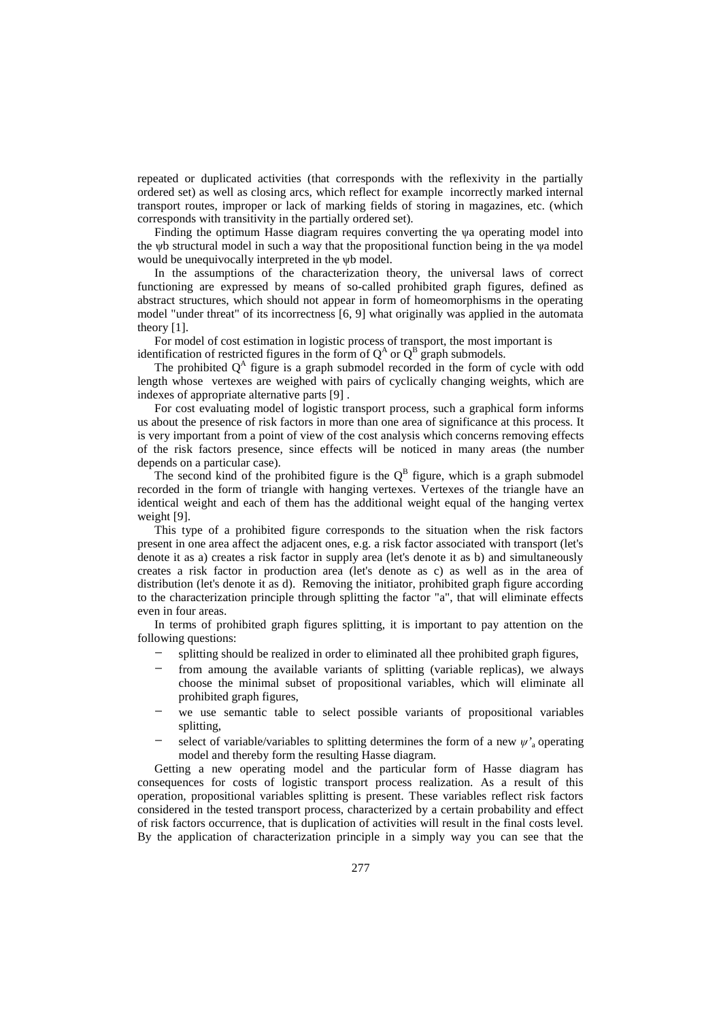repeated or duplicated activities (that corresponds with the reflexivity in the partially ordered set) as well as closing arcs, which reflect for example incorrectly marked internal transport routes, improper or lack of marking fields of storing in magazines, etc. (which corresponds with transitivity in the partially ordered set).

Finding the optimum Hasse diagram requires converting the ψa operating model into the ψb structural model in such a way that the propositional function being in the ψa model would be unequivocally interpreted in the ψb model.

In the assumptions of the characterization theory, the universal laws of correct functioning are expressed by means of so-called prohibited graph figures, defined as abstract structures, which should not appear in form of homeomorphisms in the operating model "under threat" of its incorrectness [6, 9] what originally was applied in the automata theory [1].

For model of cost estimation in logistic process of transport, the most important is identification of restricted figures in the form of  $Q^A$  or  $Q^B$  graph submodels.

The prohibited  $Q<sup>A</sup>$  figure is a graph submodel recorded in the form of cycle with odd length whose vertexes are weighed with pairs of cyclically changing weights, which are indexes of appropriate alternative parts [9] .

For cost evaluating model of logistic transport process, such a graphical form informs us about the presence of risk factors in more than one area of significance at this process. It is very important from a point of view of the cost analysis which concerns removing effects of the risk factors presence, since effects will be noticed in many areas (the number depends on a particular case).

The second kind of the prohibited figure is the  $Q^B$  figure, which is a graph submodel recorded in the form of triangle with hanging vertexes. Vertexes of the triangle have an identical weight and each of them has the additional weight equal of the hanging vertex weight [9].

This type of a prohibited figure corresponds to the situation when the risk factors present in one area affect the adjacent ones, e.g. a risk factor associated with transport (let's denote it as a) creates a risk factor in supply area (let's denote it as b) and simultaneously creates a risk factor in production area (let's denote as c) as well as in the area of distribution (let's denote it as d). Removing the initiator, prohibited graph figure according to the characterization principle through splitting the factor "a", that will eliminate effects even in four areas.

In terms of prohibited graph figures splitting, it is important to pay attention on the following questions:

- splitting should be realized in order to eliminated all thee prohibited graph figures,
- from amoung the available variants of splitting (variable replicas), we always choose the minimal subset of propositional variables, which will eliminate all prohibited graph figures,
- we use semantic table to select possible variants of propositional variables splitting,
- select of variable/variables to splitting determines the form of a new  $\psi$ <sup>'</sup><sub>a</sub> operating model and thereby form the resulting Hasse diagram.

Getting a new operating model and the particular form of Hasse diagram has consequences for costs of logistic transport process realization. As a result of this operation, propositional variables splitting is present. These variables reflect risk factors considered in the tested transport process, characterized by a certain probability and effect of risk factors occurrence, that is duplication of activities will result in the final costs level. By the application of characterization principle in a simply way you can see that the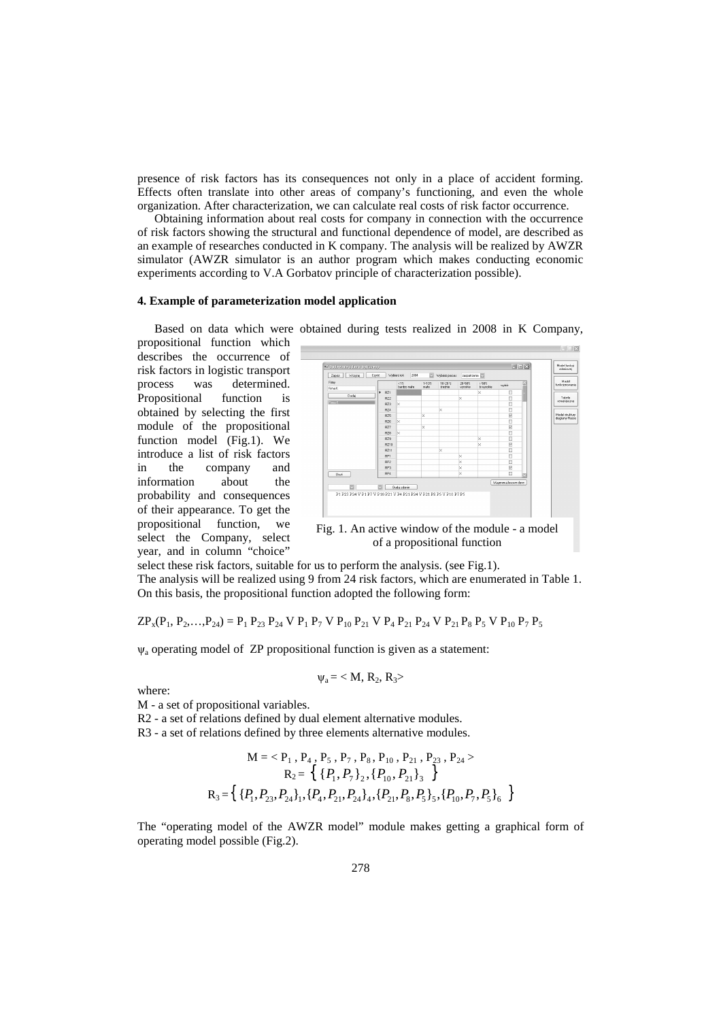presence of risk factors has its consequences not only in a place of accident forming. Effects often translate into other areas of company's functioning, and even the whole organization. After characterization, we can calculate real costs of risk factor occurrence.

Obtaining information about real costs for company in connection with the occurrence of risk factors showing the structural and functional dependence of model, are described as an example of researches conducted in K company. The analysis will be realized by AWZR simulator (AWZR simulator is an author program which makes conducting economic experiments according to V.A Gorbatov principle of characterization possible).

#### **4. Example of parameterization model application**

Based on data which were obtained during tests realized in 2008 in K Company,

propositional function which describes the occurrence of risk factors in logistic transport process was determined. Propositional function is obtained by selecting the first module of the propositional function model (Fig.1). We introduce a list of risk factors in the company and information about the probability and consequences of their appearance. To get the propositional function, we select the Company, select year, and in column "choice"



of a propositional function

select these risk factors, suitable for us to perform the analysis. (see Fig.1). The analysis will be realized using 9 from 24 risk factors, which are enumerated in Table 1. On this basis, the propositional function adopted the following form:

 $\text{ZP}_x(\text{P}_1, \text{P}_2, \ldots, \text{P}_{24}) = \text{P}_1 \text{P}_{23} \text{P}_{24} \text{V} \text{P}_1 \text{P}_7 \text{V} \text{P}_{10} \text{P}_{21} \text{V} \text{P}_4 \text{P}_{21} \text{P}_{24} \text{V} \text{P}_{21} \text{P}_8 \text{P}_5 \text{V} \text{P}_{10} \text{P}_7 \text{P}_5$ 

ψa operating model of ZP propositional function is given as a statement:

$$
\psi_a\!=\!< M,\,R_2,\,R_3\!\!>
$$

where:

M - a set of propositional variables.

R2 - a set of relations defined by dual element alternative modules.

R3 - a set of relations defined by three elements alternative modules.

$$
M = \langle P_1, P_4, P_5, P_7, P_8, P_{10}, P_{21}, P_{23}, P_{24} \rangle
$$
  
\n
$$
R_2 = \{ \{P_1, P_7\}_2, \{P_{10}, P_{21}\}_3 \}
$$
  
\n
$$
R_3 = \{ \{P_1, P_{23}, P_{24}\}_1, \{P_4, P_{21}, P_{24}\}_4, \{P_{21}, P_8, P_5\}_5, \{P_{10}, P_7, P_5\}_6 \}
$$

The "operating model of the AWZR model" module makes getting a graphical form of operating model possible (Fig.2).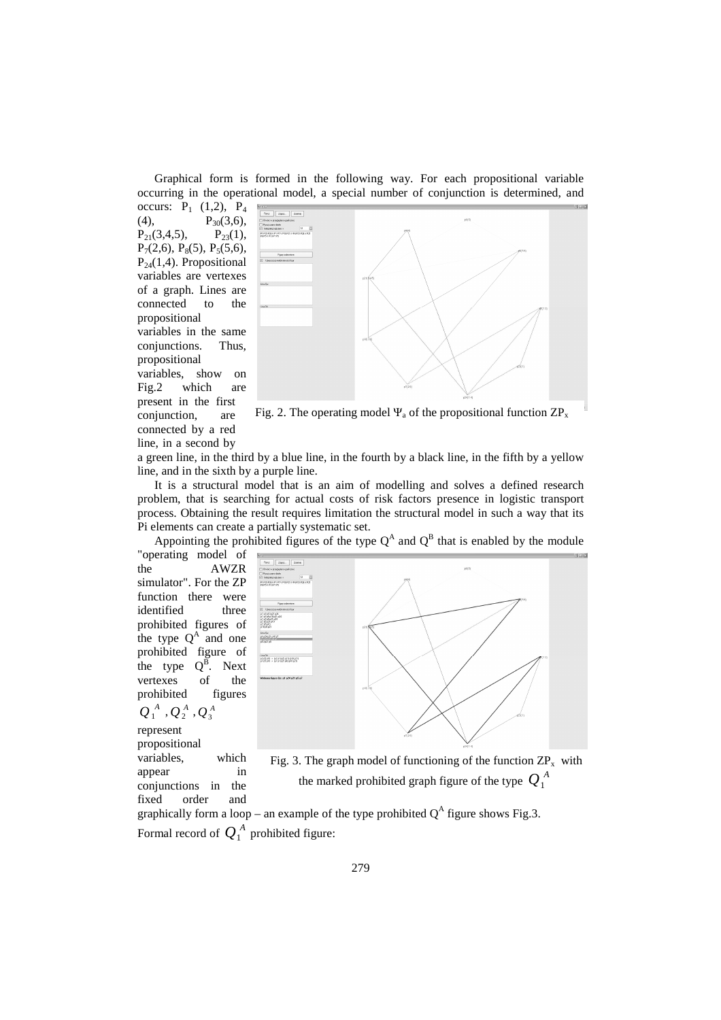Graphical form is formed in the following way. For each propositional variable occurring in the operational model, a special number of conjunction is determined, and

occurs:  $P_1$  (1,2),  $P_4$ (4),  $P_{30}(3,6)$ ,  $P_{21}(3,4,5)$ ,  $P_{23}(1)$ ,  $P_{21}(3,4,5),$  $P_7(2,6)$ ,  $P_8(5)$ ,  $P_5(5,6)$ ,  $P_{24}(1,4)$ . Propositional variables are vertexes of a graph. Lines are connected to the propositional variables in the same conjunctions. Thus, propositional variables, show on Fig.2 which are present in the first conjunction, are connected by a red line, in a second by



Fig. 2. The operating model  $\Psi_a$  of the propositional function  $\text{ZP}_x$ 

a green line, in the third by a blue line, in the fourth by a black line, in the fifth by a yellow line, and in the sixth by a purple line.

It is a structural model that is an aim of modelling and solves a defined research problem, that is searching for actual costs of risk factors presence in logistic transport process. Obtaining the result requires limitation the structural model in such a way that its Pi elements can create a partially systematic set.

Appointing the prohibited figures of the type  $Q^A$  and  $Q^B$  that is enabled by the module

"operating model of the AWZR simulator". For the ZP function there were identified three prohibited figures of the type  $Q^A$  and one prohibited figure of the type  $Q^B$ . Next vertexes of the<br>prohibited figures prohibited  $Q_1^{\;A}$  ,  $Q_2^{\;A}$  ,  $Q_3^{\;A}$ represent propositional variables, which appear in conjunctions in the fixed order and



Fig. 3. The graph model of functioning of the function  $\text{ZP}_x$  with the marked prohibited graph figure of the type  $Q_1^A$ 

graphically form a loop – an example of the type prohibited  $Q^A$  figure shows Fig.3. Formal record of  $Q_1^A$  prohibited figure: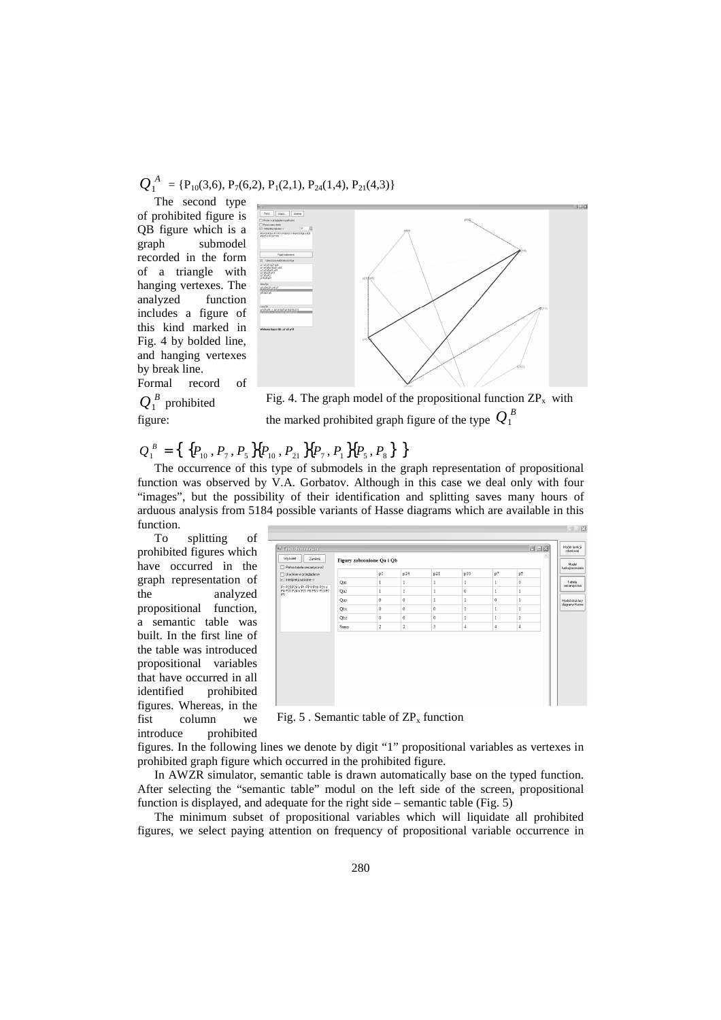$$
Q_1^A = \{P_{10}(3,6), P_7(6,2), P_1(2,1), P_{24}(1,4), P_{21}(4,3)\}
$$

The second type of prohibited figure is QB figure which is a graph submodel recorded in the form of a triangle with hanging vertexes. The analyzed function includes a figure of this kind marked in Fig. 4 by bolded line, and hanging vertexes by break line. Formal record of



 $Q_1^B$  prohibited

figure:



# $Q_1^B = \left\{ \frac{P_{10}, P_7, P_5}{P_{10}, P_{21}} P_{P_7}, P_1 P_{P_5}, P_8 \right\}$

The occurrence of this type of submodels in the graph representation of propositional function was observed by V.A. Gorbatov. Although in this case we deal only with four "images", but the possibility of their identification and splitting saves many hours of arduous analysis from 5184 possible variants of Hasse diagrams which are available in this function.

To splitting of prohibited figures which have occurred in the graph representation of the analyzed propositional function, a semantic table was built. In the first line of the table was introduced propositional variables that have occurred in all identified prohibited figures. Whereas, in the fist column we introduce prohibited



Fig. 5 . Semantic table of  $\text{ZP}_x$  function

figures. In the following lines we denote by digit "1" propositional variables as vertexes in prohibited graph figure which occurred in the prohibited figure.

In AWZR simulator, semantic table is drawn automatically base on the typed function. After selecting the "semantic table" modul on the left side of the screen, propositional function is displayed, and adequate for the right side – semantic table (Fig. 5)

The minimum subset of propositional variables which will liquidate all prohibited figures, we select paying attention on frequency of propositional variable occurrence in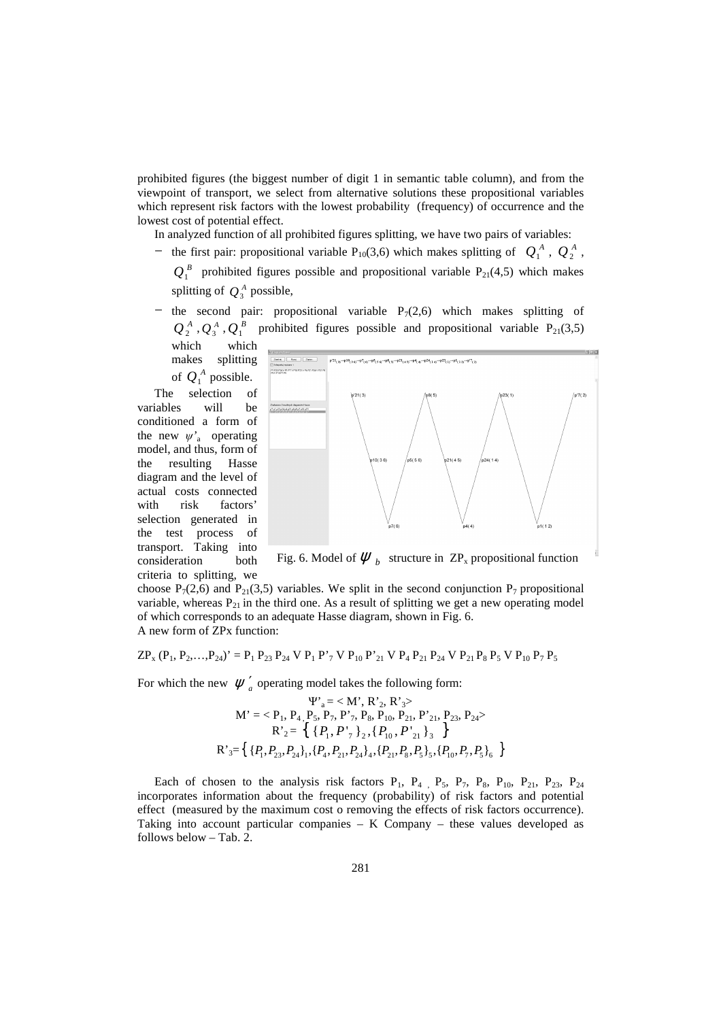prohibited figures (the biggest number of digit 1 in semantic table column), and from the viewpoint of transport, we select from alternative solutions these propositional variables which represent risk factors with the lowest probability (frequency) of occurrence and the lowest cost of potential effect.

In analyzed function of all prohibited figures splitting, we have two pairs of variables:

- − the first pair: propositional variable P<sub>10</sub>(3,6) which makes splitting of  $Q_1^A$ ,  $Q_2^A$ ,
	- $Q_1^B$  prohibited figures possible and propositional variable  $P_{21}(4,5)$  which makes splitting of  $Q_3^A$  possible,
- $-$  the second pair: propositional variable P<sub>7</sub>(2,6) which makes splitting of  $\overline{{Q}}_2^{\scriptscriptstyle A}$  ,  $\overline{{Q}}_3^{\scriptscriptstyle A}$  ,  $\overline{{Q}}_1^{\scriptscriptstyle B}$ prohibited figures possible and propositional variable  $P_{21}(3,5)$ which which

makes splitting of  $Q_1^A$  possible.

The selection of variables will be conditioned a form of the new  $\psi$ <sup>'</sup><sub>a</sub> operating model, and thus, form of the resulting Hasse diagram and the level of actual costs connected with risk factors' selection generated in the test process of transport. Taking into consideration both criteria to splitting, we



Fig. 6. Model of  $\psi_b$  structure in  $\text{ZP}_x$  propositional function

choose  $P_7(2,6)$  and  $P_{21}(3,5)$  variables. We split in the second conjunction  $P_7$  propositional variable, whereas  $P_{21}$  in the third one. As a result of splitting we get a new operating model of which corresponds to an adequate Hasse diagram, shown in Fig. 6. A new form of ZPx function:

$$
ZP_x (P_1, P_2, \ldots, P_{24})' = P_1 P_{23} P_{24} V P_1 P'_7 V P_{10} P'_{21} V P_4 P_{21} P_{24} V P_{21} P_8 P_5 V P_{10} P_7 P_5
$$

For which the new  $\psi'_a$  operating model takes the following form:

$$
\Psi_{a}^{v} = \langle M', R'_{2}, R'_{3}\rangle
$$
\n
$$
M' = \langle P_{1}, P_{4}, P_{5}, P_{7}, P'_{7}, P_{8}, P_{10}, P_{21}, P'_{21}, P_{23}, P_{24}\rangle
$$
\n
$$
R'_{2} = \left\{ \{P_{1}, P'_{7}\}_{2}, \{P_{10}, P'_{21}\}_{3} \right\}
$$
\n
$$
R'_{3} = \left\{ \{P_{1}, P_{23}, P_{24}\}_{1}, \{P_{4}, P_{21}, P_{24}\}_{4}, \{P_{21}, P_{8}, P_{5}\}_{5}, \{P_{10}, P_{7}, P_{5}\}_{6} \right\}
$$

Each of chosen to the analysis risk factors  $P_1$ ,  $P_4$ ,  $P_5$ ,  $P_7$ ,  $P_8$ ,  $P_{10}$ ,  $P_{21}$ ,  $P_{23}$ ,  $P_{24}$ incorporates information about the frequency (probability) of risk factors and potential effect (measured by the maximum cost o removing the effects of risk factors occurrence). Taking into account particular companies – K Company – these values developed as follows below – Tab. 2.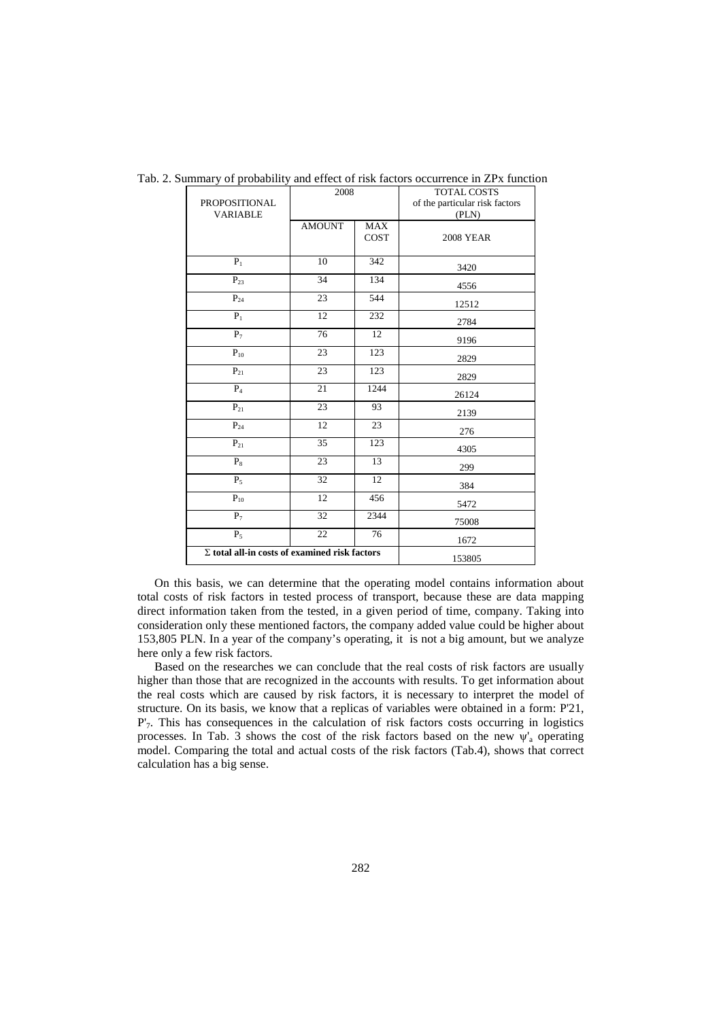| PROPOSITIONAL<br><b>VARIABLE</b>                     | 2008            |                    | TOTAL COSTS<br>of the particular risk factors<br>(PLN) |
|------------------------------------------------------|-----------------|--------------------|--------------------------------------------------------|
|                                                      | <b>AMOUNT</b>   | <b>MAX</b><br>COST | <b>2008 YEAR</b>                                       |
| $P_1$                                                | 10              | 342                | 3420                                                   |
| $P_{23}$                                             | 34              | 134                | 4556                                                   |
| $P_{24}$                                             | 23              | 544                | 12512                                                  |
| $P_1$                                                | 12              | 232                | 2784                                                   |
| $P_7$                                                | 76              | 12                 | 9196                                                   |
| $P_{10}$                                             | 23              | 123                | 2829                                                   |
| $P_{21}$                                             | 23              | 123                | 2829                                                   |
| $\mathrm{P}_4$                                       | 21              | 1244               | 26124                                                  |
| $P_{21}$                                             | 23              | 93                 | 2139                                                   |
| $P_{24}$                                             | 12              | 23                 | 276                                                    |
| $P_{21}$                                             | 35              | 123                | 4305                                                   |
| $P_8$                                                | 23              | 13                 | 299                                                    |
| $P_5$                                                | $\overline{32}$ | 12                 | 384                                                    |
| $P_{10}$                                             | 12              | 456                | 5472                                                   |
| $P_7$                                                | 32              | 2344               | 75008                                                  |
| $P_5$                                                | 22              | 76                 | 1672                                                   |
| $\Sigma$ total all-in costs of examined risk factors | 153805          |                    |                                                        |

Tab. 2. Summary of probability and effect of risk factors occurrence in ZPx function

On this basis, we can determine that the operating model contains information about total costs of risk factors in tested process of transport, because these are data mapping direct information taken from the tested, in a given period of time, company. Taking into consideration only these mentioned factors, the company added value could be higher about 153,805 PLN. In a year of the company's operating, it is not a big amount, but we analyze here only a few risk factors.

Based on the researches we can conclude that the real costs of risk factors are usually higher than those that are recognized in the accounts with results. To get information about the real costs which are caused by risk factors, it is necessary to interpret the model of structure. On its basis, we know that a replicas of variables were obtained in a form: P'21,  $P'$ 7. This has consequences in the calculation of risk factors costs occurring in logistics processes. In Tab. 3 shows the cost of the risk factors based on the new  $\psi_a$  operating model. Comparing the total and actual costs of the risk factors (Tab.4), shows that correct calculation has a big sense.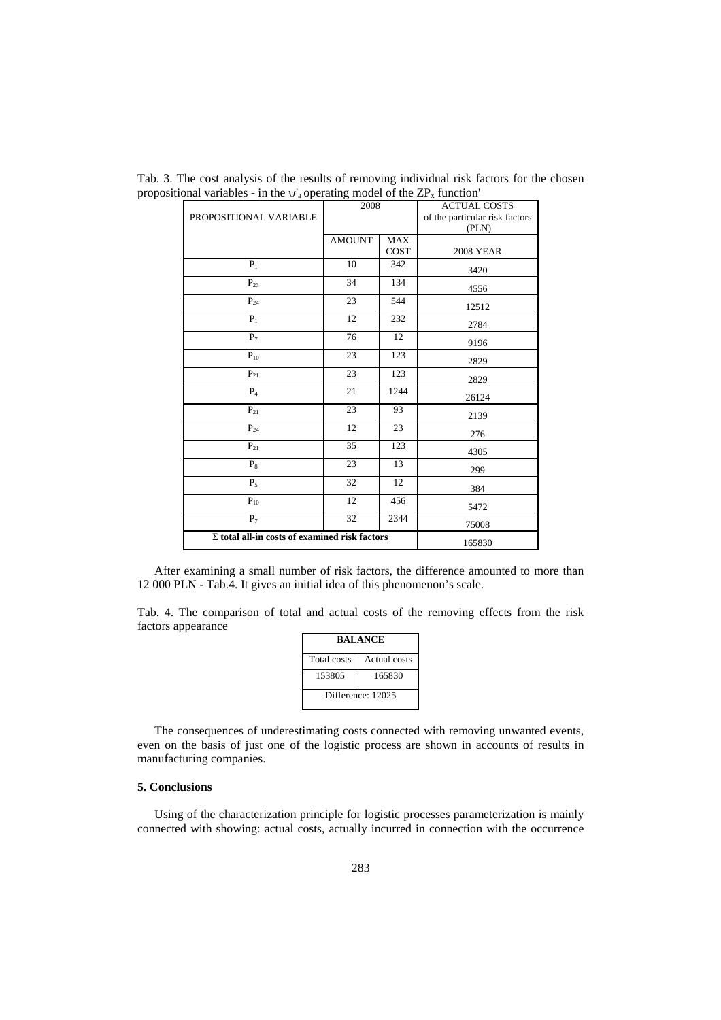|                                                      | 2008          |             | <b>ACTUAL COSTS</b>            |
|------------------------------------------------------|---------------|-------------|--------------------------------|
| PROPOSITIONAL VARIABLE                               |               |             | of the particular risk factors |
|                                                      |               |             | (PLN)                          |
|                                                      | <b>AMOUNT</b> | <b>MAX</b>  |                                |
|                                                      |               | <b>COST</b> | <b>2008 YEAR</b>               |
| $P_1$                                                | 10            | 342         | 3420                           |
| $P_{23}$                                             | 34            | 134         | 4556                           |
| $P_{24}$                                             | 23            | 544         | 12512                          |
| $P_1$                                                | 12            | 232         | 2784                           |
| $P_7$                                                | 76            | 12          | 9196                           |
| $P_{10}$                                             | 23            | 123         | 2829                           |
| $P_{21}$                                             | 23            | 123         | 2829                           |
| $P_4$                                                | 21            | 1244        | 26124                          |
| $P_{21}$                                             | 23            | 93          | 2139                           |
| $P_{24}$                                             | 12            | 23          | 276                            |
| $P_{21}$                                             | 35            | 123         | 4305                           |
| $P_8$                                                | 23            | 13          | 299                            |
| $P_5$                                                | 32            | 12          | 384                            |
| $P_{10}$                                             | 12            | 456         | 5472                           |
| $P_7$                                                | 32            | 2344        | 75008                          |
| $\Sigma$ total all-in costs of examined risk factors | 165830        |             |                                |

Tab. 3. The cost analysis of the results of removing individual risk factors for the chosen propositional variables - in the  $\psi_a$  operating model of the  $\text{ZP}_x$  function'

After examining a small number of risk factors, the difference amounted to more than 12 000 PLN - Tab.4. It gives an initial idea of this phenomenon's scale.

Tab. 4. The comparison of total and actual costs of the removing effects from the risk factors appearance

| <b>BALANCE</b>    |              |  |  |
|-------------------|--------------|--|--|
| Total costs       | Actual costs |  |  |
| 153805            | 165830       |  |  |
| Difference: 12025 |              |  |  |

The consequences of underestimating costs connected with removing unwanted events, even on the basis of just one of the logistic process are shown in accounts of results in manufacturing companies.

#### **5. Conclusions**

Using of the characterization principle for logistic processes parameterization is mainly connected with showing: actual costs, actually incurred in connection with the occurrence